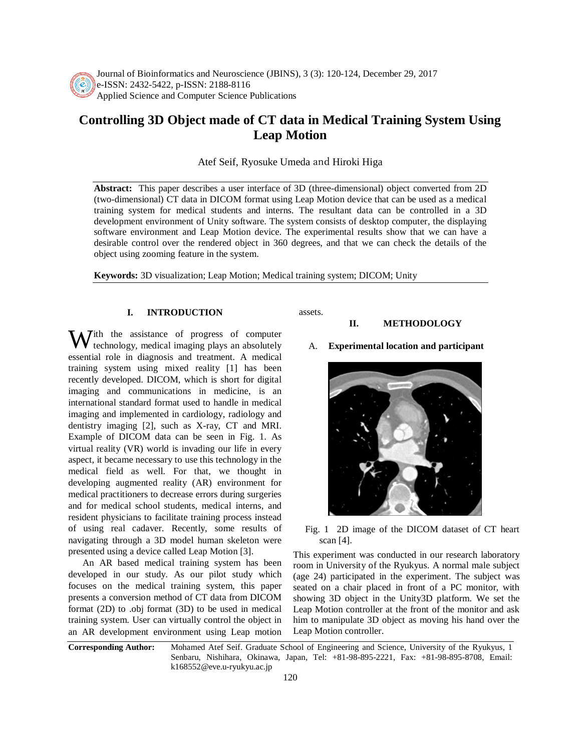

Journal of Bioinformatics and Neuroscience (JBINS), 3 (3): 120-124, December 29, 2017 e-ISSN: 2432-5422, p-ISSN: 2188-8116 Applied Science and Computer Science Publications

# **Controlling 3D Object made of CT data in Medical Training System Using Leap Motion**

Atef Seif, Ryosuke Umeda and Hiroki Higa

**Abstract:** This paper describes a user interface of 3D (three-dimensional) object converted from 2D (two-dimensional) CT data in DICOM format using Leap Motion device that can be used as a medical training system for medical students and interns. The resultant data can be controlled in a 3D development environment of Unity software. The system consists of desktop computer, the displaying software environment and Leap Motion device. The experimental results show that we can have a desirable control over the rendered object in 360 degrees, and that we can check the details of the object using zooming feature in the system.

**Keywords:** 3D visualization; Leap Motion; Medical training system; DICOM; Unity

# **I. INTRODUCTION**

With the assistance of progress of computer<br>technology, medical imaging plays an absolutely A. **Experimental location and participant** technology, medical imaging plays an absolutely essential role in diagnosis and treatment. A medical training system using mixed reality [1] has been recently developed. DICOM, which is short for digital imaging and communications in medicine, is an international standard format used to handle in medical imaging and implemented in cardiology, radiology and dentistry imaging [2], such as X-ray, CT and MRI. Example of DICOM data can be seen in Fig. 1. As virtual reality (VR) world is invading our life in every aspect, it became necessary to use this technology in the medical field as well. For that, we thought in developing augmented reality (AR) environment for medical practitioners to decrease errors during surgeries and for medical school students, medical interns, and resident physicians to facilitate training process instead of using real cadaver. Recently, some results of navigating through a 3D model human skeleton were presented using a device called Leap Motion [3].

An AR based medical training system has been developed in our study. As our pilot study which focuses on the medical training system, this paper presents a conversion method of CT data from DICOM format (2D) to .obj format (3D) to be used in medical training system. User can virtually control the object in an AR development environment using Leap motion assets.

## **II. METHODOLOGY**



Fig. 1 2D image of the DICOM dataset of CT heart scan [4].

This experiment was conducted in our research laboratory room in University of the Ryukyus. A normal male subject (age 24) participated in the experiment. The subject was seated on a chair placed in front of a PC monitor, with showing 3D object in the Unity3D platform. We set the Leap Motion controller at the front of the monitor and ask him to manipulate 3D object as moving his hand over the Leap Motion controller.

**Corresponding Author:** Mohamed Atef Seif. Graduate School of Engineering and Science, University of the Ryukyus, 1 Senbaru, Nishihara, Okinawa, Japan, Tel: +81-98-895-2221, Fax: +81-98-895-8708, Email: k168552@eve.u-ryukyu.ac.jp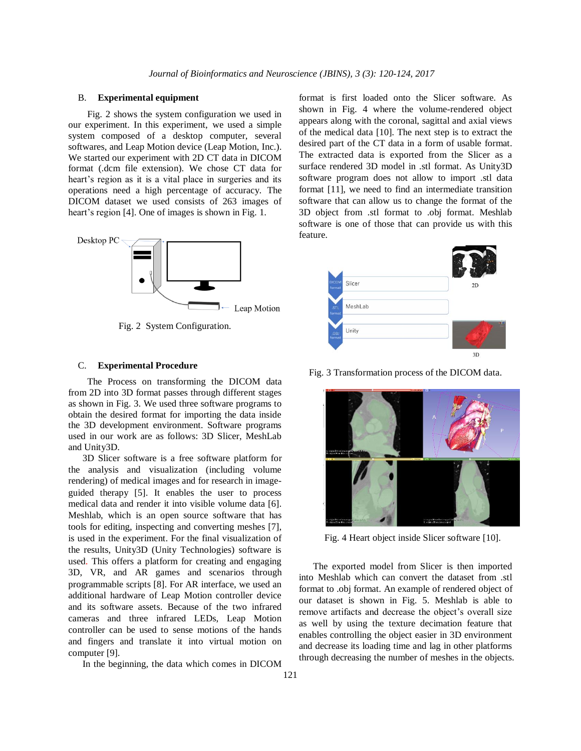## B. **Experimental equipment**

Fig. 2 shows the system configuration we used in our experiment. In this experiment, we used a simple system composed of a desktop computer, several softwares, and Leap Motion device (Leap Motion, Inc.). We started our experiment with 2D CT data in DICOM format (.dcm file extension). We chose CT data for heart's region as it is a vital place in surgeries and its operations need a high percentage of accuracy. The DICOM dataset we used consists of 263 images of heart's region [4]. One of images is shown in Fig. 1.



Fig. 2 System Configuration.

### C. **Experimental Procedure**

The Process on transforming the DICOM data from 2D into 3D format passes through different stages as shown in Fig. 3. We used three software programs to obtain the desired format for importing the data inside the 3D development environment. Software programs used in our work are as follows: 3D Slicer, MeshLab and Unity3D.

3D Slicer software is a free software platform for the analysis and visualization (including volume rendering) of medical images and for research in imageguided therapy [5]. It enables the user to process medical data and render it into visible volume data [6]. Meshlab, which is an open source software that has tools for editing, inspecting and converting meshes [7], is used in the experiment. For the final visualization of the results, Unity3D (Unity Technologies) software is used. This offers a platform for creating and engaging 3D, VR, and AR games and scenarios through programmable scripts [8]. For AR interface, we used an additional hardware of Leap Motion controller device and its software assets. Because of the two infrared cameras and three infrared LEDs, Leap Motion controller can be used to sense motions of the hands and fingers and translate it into virtual motion on computer [9].

In the beginning, the data which comes in DICOM

format is first loaded onto the Slicer software. As shown in Fig. 4 where the volume-rendered object appears along with the coronal, sagittal and axial views of the medical data [10]. The next step is to extract the desired part of the CT data in a form of usable format. The extracted data is exported from the Slicer as a surface rendered 3D model in .stl format. As Unity3D software program does not allow to import .stl data format [11], we need to find an intermediate transition software that can allow us to change the format of the 3D object from .stl format to .obj format. Meshlab software is one of those that can provide us with this feature.



Fig. 3 Transformation process of the DICOM data.



Fig. 4 Heart object inside Slicer software [10].

The exported model from Slicer is then imported into Meshlab which can convert the dataset from .stl format to .obj format. An example of rendered object of our dataset is shown in Fig. 5. Meshlab is able to remove artifacts and decrease the object's overall size as well by using the texture decimation feature that enables controlling the object easier in 3D environment and decrease its loading time and lag in other platforms through decreasing the number of meshes in the objects.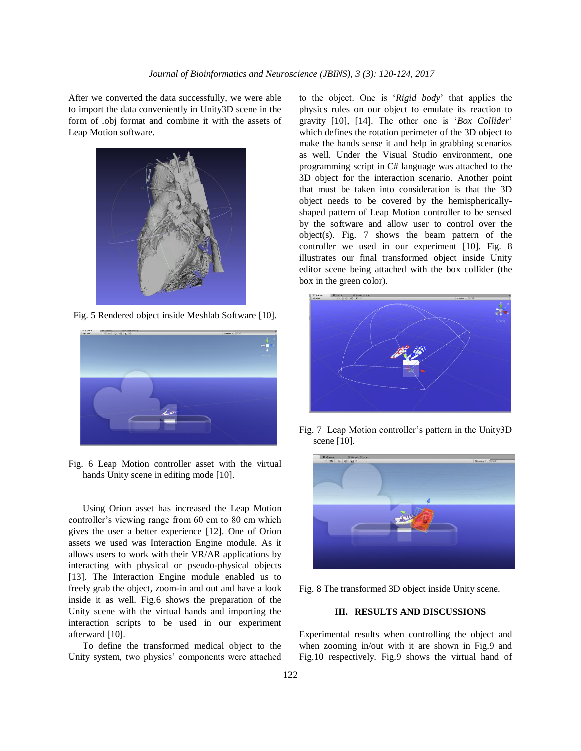After we converted the data successfully, we were able to import the data conveniently in Unity3D scene in the form of .obj format and combine it with the assets of Leap Motion software.



Fig. 5 Rendered object inside Meshlab Software [10].



Fig. 6 Leap Motion controller asset with the virtual hands Unity scene in editing mode [10].

Using Orion asset has increased the Leap Motion controller's viewing range from 60 cm to 80 cm which gives the user a better experience [12]. One of Orion assets we used was Interaction Engine module. As it allows users to work with their VR/AR applications by interacting with physical or pseudo-physical objects [13]. The Interaction Engine module enabled us to freely grab the object, zoom-in and out and have a look inside it as well. Fig.6 shows the preparation of the Unity scene with the virtual hands and importing the interaction scripts to be used in our experiment afterward [10].

To define the transformed medical object to the Unity system, two physics' components were attached to the object. One is '*Rigid body*' that applies the physics rules on our object to emulate its reaction to gravity [10], [14]. The other one is '*Box Collider*' which defines the rotation perimeter of the 3D object to make the hands sense it and help in grabbing scenarios as well. Under the Visual Studio environment, one programming script in C# language was attached to the 3D object for the interaction scenario. Another point that must be taken into consideration is that the 3D object needs to be covered by the hemisphericallyshaped pattern of Leap Motion controller to be sensed by the software and allow user to control over the object(s). Fig. 7 shows the beam pattern of the controller we used in our experiment [10]. Fig. 8 illustrates our final transformed object inside Unity editor scene being attached with the box collider (the box in the green color).



Fig. 7 Leap Motion controller's pattern in the Unity3D scene [10].



Fig. 8 The transformed 3D object inside Unity scene.

## **III. RESULTS AND DISCUSSIONS**

Experimental results when controlling the object and when zooming in/out with it are shown in Fig.9 and Fig.10 respectively. Fig.9 shows the virtual hand of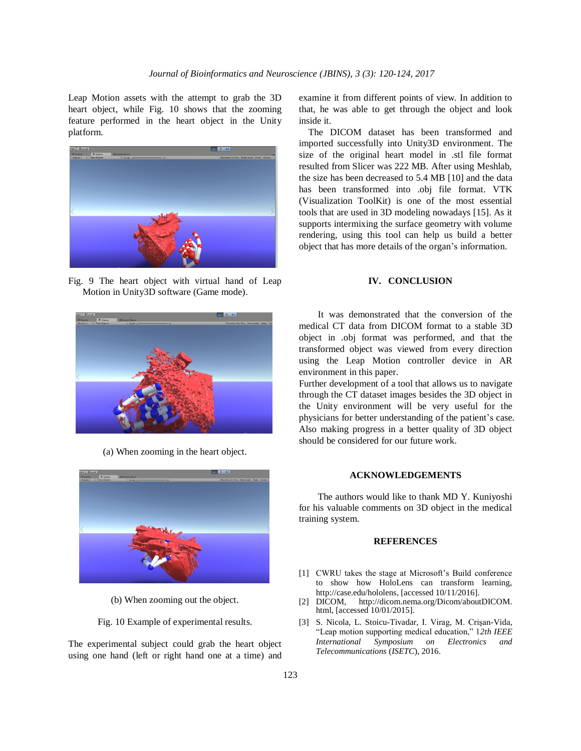Leap Motion assets with the attempt to grab the 3D heart object, while Fig. 10 shows that the zooming feature performed in the heart object in the Unity platform.



Fig. 9 The heart object with virtual hand of Leap Motion in Unity3D software (Game mode).



(a) When zooming in the heart object.



(b) When zooming out the object.

Fig. 10 Example of experimental results.

The experimental subject could grab the heart object using one hand (left or right hand one at a time) and examine it from different points of view. In addition to that, he was able to get through the object and look inside it.

The DICOM dataset has been transformed and imported successfully into Unity3D environment. The size of the original heart model in .stl file format resulted from Slicer was 222 MB. After using Meshlab, the size has been decreased to 5.4 MB [10] and the data has been transformed into .obj file format. VTK (Visualization ToolKit) is one of the most essential tools that are used in 3D modeling nowadays [15]. As it supports intermixing the surface geometry with volume rendering, using this tool can help us build a better object that has more details of the organ's information.

## **IV. CONCLUSION**

It was demonstrated that the conversion of the medical CT data from DICOM format to a stable 3D object in .obj format was performed, and that the transformed object was viewed from every direction using the Leap Motion controller device in AR environment in this paper.

Further development of a tool that allows us to navigate through the CT dataset images besides the 3D object in the Unity environment will be very useful for the physicians for better understanding of the patient's case. Also making progress in a better quality of 3D object should be considered for our future work.

#### **ACKNOWLEDGEMENTS**

The authors would like to thank MD Y. Kuniyoshi for his valuable comments on 3D object in the medical training system.

#### **REFERENCES**

- [1] CWRU takes the stage at Microsoft's Build conference to show how HoloLens can transform learning, http://case.edu/hololens, [accessed 10/11/2016].
- [2] DICOM, http://dicom.nema.org/Dicom/aboutDICOM. html, [accessed 10/01/2015].
- [3] S. Nicola, L. Stoicu-Tivadar, I. Virag, M. Crişan-Vida, "Leap motion supporting medical education," 1*2th IEEE International Symposium on Electronics and Telecommunications* (*ISETC*), 2016.